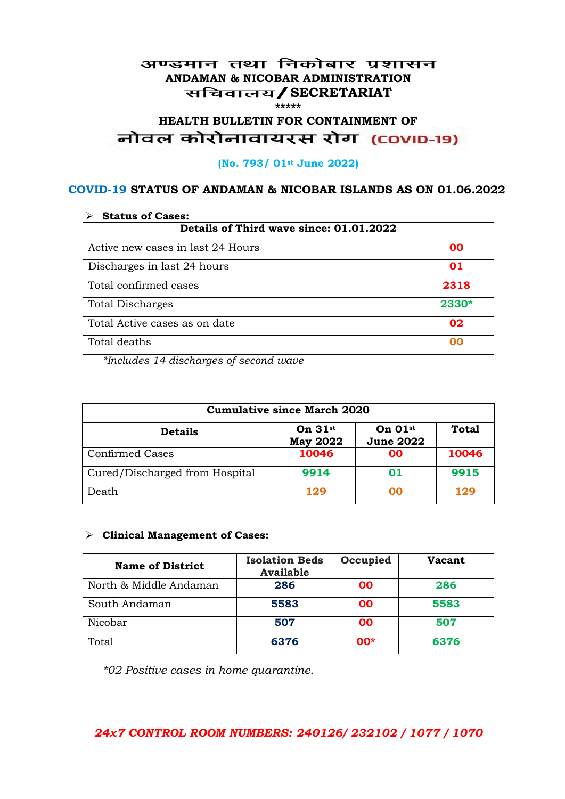#### अण्डमान तथा निकोबार प्रशासन **ANDAMAN & NICOBAR ADMINISTRATION /SECRETARIAT \*\*\*\*\***

# HEALTH BULLETIN FOR CONTAINMENT OF<br>बोवल कोरोनावायरस रोग (COVID-19)

#### **(No. 793/ 01st June 2022)**

#### **COVID-19 STATUS OF ANDAMAN & NICOBAR ISLANDS AS ON 01.06.2022**

| <b>Status of Cases:</b>                 |       |  |
|-----------------------------------------|-------|--|
| Details of Third wave since: 01.01.2022 |       |  |
| Active new cases in last 24 Hours       | 00    |  |
| Discharges in last 24 hours             | 01    |  |
| Total confirmed cases                   | 2318  |  |
| <b>Total Discharges</b>                 | 2330* |  |
| Total Active cases as on date           | 02    |  |
| Total deaths                            | oo    |  |

*\*Includes 14 discharges of second wave*

| <b>Cumulative since March 2020</b> |                              |                                           |              |
|------------------------------------|------------------------------|-------------------------------------------|--------------|
| <b>Details</b>                     | On $31st$<br><b>May 2022</b> | On $01$ <sup>st</sup><br><b>June 2022</b> | <b>Total</b> |
| <b>Confirmed Cases</b>             | 10046                        | 00                                        | 10046        |
| Cured/Discharged from Hospital     | 9914                         | 01                                        | 9915         |
| Death                              | 129                          | ററ                                        | 129          |

#### **Clinical Management of Cases:**

| <b>Name of District</b> | <b>Isolation Beds</b><br><b>Available</b> | Occupied | <b>Vacant</b> |
|-------------------------|-------------------------------------------|----------|---------------|
| North & Middle Andaman  | 286                                       | 00       | 286           |
| South Andaman           | 5583                                      | 00       | 5583          |
| Nicobar                 | 507                                       | 00       | 507           |
| Total                   | 6376                                      | $00*$    | 6376          |

*\*02 Positive cases in home quarantine.*

#### *24x7 CONTROL ROOM NUMBERS: 240126/ 232102 / 1077 / 1070*